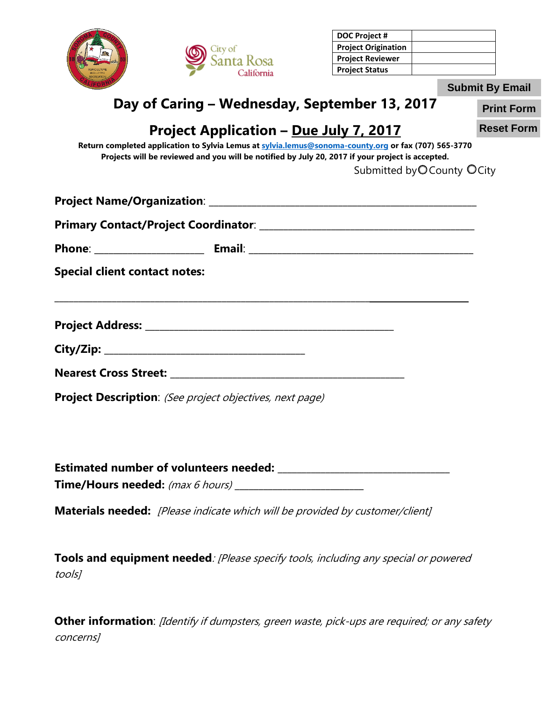|                                      |                                                                               | DOC Project #                                                                                        |                        |  |
|--------------------------------------|-------------------------------------------------------------------------------|------------------------------------------------------------------------------------------------------|------------------------|--|
|                                      | Lity of                                                                       | <b>Project Origination</b>                                                                           |                        |  |
|                                      |                                                                               | <b>Project Reviewer</b>                                                                              |                        |  |
|                                      | .<br>Lalifornia                                                               | <b>Project Status</b>                                                                                |                        |  |
|                                      |                                                                               |                                                                                                      | <b>Submit By Email</b> |  |
|                                      | Day of Caring - Wednesday, September 13, 2017                                 |                                                                                                      | <b>Print Form</b>      |  |
|                                      | Project Application - Due July 7, 2017                                        |                                                                                                      | <b>Reset Form</b>      |  |
|                                      |                                                                               | Return completed application to Sylvia Lemus at sylvia.lemus@sonoma-county.org or fax (707) 565-3770 |                        |  |
|                                      |                                                                               | Projects will be reviewed and you will be notified by July 20, 2017 if your project is accepted.     |                        |  |
|                                      |                                                                               | Submitted by O County O City                                                                         |                        |  |
|                                      |                                                                               |                                                                                                      |                        |  |
|                                      |                                                                               |                                                                                                      |                        |  |
|                                      |                                                                               |                                                                                                      |                        |  |
| <b>Special client contact notes:</b> |                                                                               |                                                                                                      |                        |  |
|                                      | <b>Project Description:</b> (See project objectives, next page)               |                                                                                                      |                        |  |
|                                      | Materials needed: [Please indicate which will be provided by customer/client] |                                                                                                      |                        |  |
| tools]                               |                                                                               | <b>Tools and equipment needed</b> : [Please specify tools, including any special or powered          |                        |  |

**Other information**: [Identify if dumpsters, green waste, pick-ups are required; or any safety concerns]